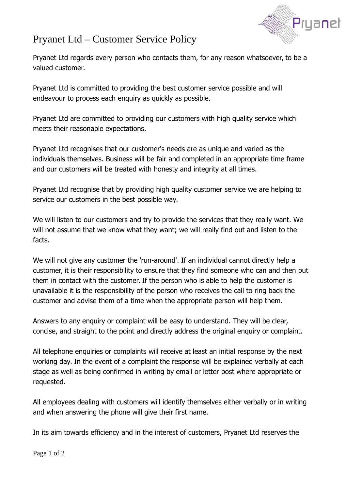

## Pryanet Ltd – Customer Service Policy

Pryanet Ltd regards every person who contacts them, for any reason whatsoever, to be a valued customer.

Pryanet Ltd is committed to providing the best customer service possible and will endeavour to process each enquiry as quickly as possible.

Pryanet Ltd are committed to providing our customers with high quality service which meets their reasonable expectations.

Pryanet Ltd recognises that our customer's needs are as unique and varied as the individuals themselves. Business will be fair and completed in an appropriate time frame and our customers will be treated with honesty and integrity at all times.

Pryanet Ltd recognise that by providing high quality customer service we are helping to service our customers in the best possible way.

We will listen to our customers and try to provide the services that they really want. We will not assume that we know what they want; we will really find out and listen to the facts.

We will not give any customer the 'run-around'. If an individual cannot directly help a customer, it is their responsibility to ensure that they find someone who can and then put them in contact with the customer. If the person who is able to help the customer is unavailable it is the responsibility of the person who receives the call to ring back the customer and advise them of a time when the appropriate person will help them.

Answers to any enquiry or complaint will be easy to understand. They will be clear, concise, and straight to the point and directly address the original enquiry or complaint.

All telephone enquiries or complaints will receive at least an initial response by the next working day. In the event of a complaint the response will be explained verbally at each stage as well as being confirmed in writing by email or letter post where appropriate or requested.

All employees dealing with customers will identify themselves either verbally or in writing and when answering the phone will give their first name.

In its aim towards efficiency and in the interest of customers, Pryanet Ltd reserves the